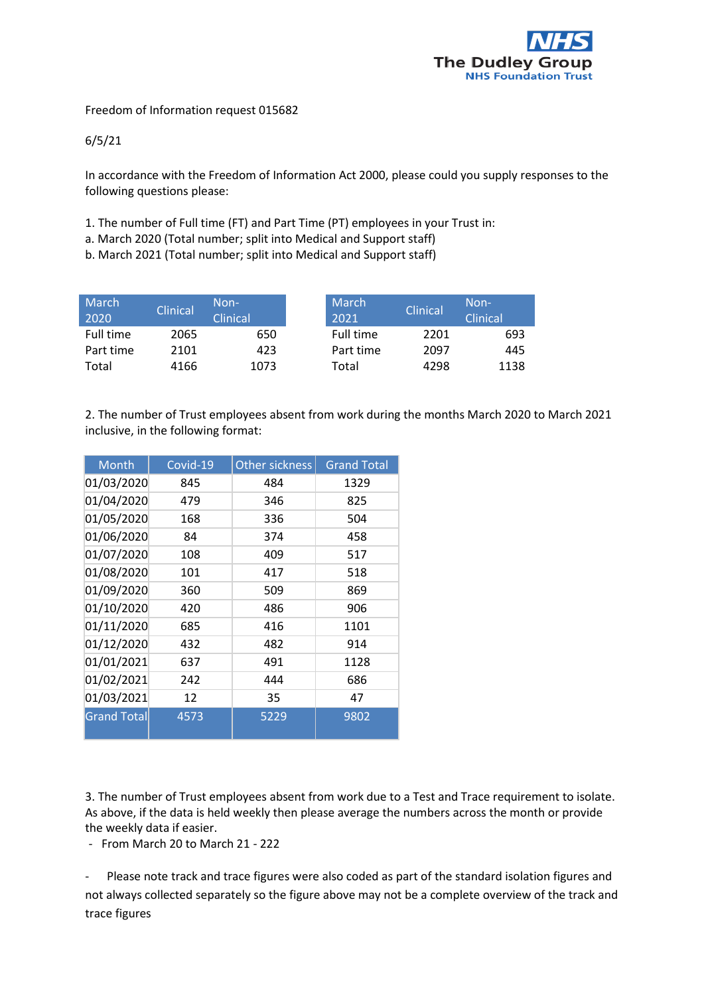

Freedom of Information request 015682

## 6/5/21

In accordance with the Freedom of Information Act 2000, please could you supply responses to the following questions please:

1. The number of Full time (FT) and Part Time (PT) employees in your Trust in:

a. March 2020 (Total number; split into Medical and Support staff)

b. March 2021 (Total number; split into Medical and Support staff)

| March<br>2020 | <b>Clinical</b> | Non-<br><b>Clinical</b> | March<br>2021 | <b>Clinical</b>   | Non-<br>Clinical |
|---------------|-----------------|-------------------------|---------------|-------------------|------------------|
| Full time     | 2065            | 650                     |               | Full time<br>2201 | 693              |
| Part time     | 2101            | 423                     |               | 2097<br>Part time | 445              |
| Total         | 4166            | 1073                    | Total         | 4298              | 1138             |

2. The number of Trust employees absent from work during the months March 2020 to March 2021 inclusive, in the following format:

| Month              | Covid-19 | Other sickness | <b>Grand Total</b> |
|--------------------|----------|----------------|--------------------|
| 01/03/2020         | 845      | 484            | 1329               |
| 01/04/2020         | 479      | 346            | 825                |
| 01/05/2020         | 168      | 336            | 504                |
| 01/06/2020         | 84       | 374            | 458                |
| 01/07/2020         | 108      | 409            | 517                |
| 01/08/2020         | 101      | 417            | 518                |
| 01/09/2020         | 360      | 509            | 869                |
| 01/10/2020         | 420      | 486            | 906                |
| 01/11/2020         | 685      | 416            | 1101               |
| 01/12/2020         | 432      | 482            | 914                |
| 01/01/2021         | 637      | 491            | 1128               |
| 01/02/2021         | 242      | 444            | 686                |
| 01/03/2021         | 12       | 35             | 47                 |
| <b>Grand Total</b> | 4573     | 5229           | 9802               |

3. The number of Trust employees absent from work due to a Test and Trace requirement to isolate. As above, if the data is held weekly then please average the numbers across the month or provide the weekly data if easier.

- From March 20 to March 21 - 222

- Please note track and trace figures were also coded as part of the standard isolation figures and not always collected separately so the figure above may not be a complete overview of the track and trace figures